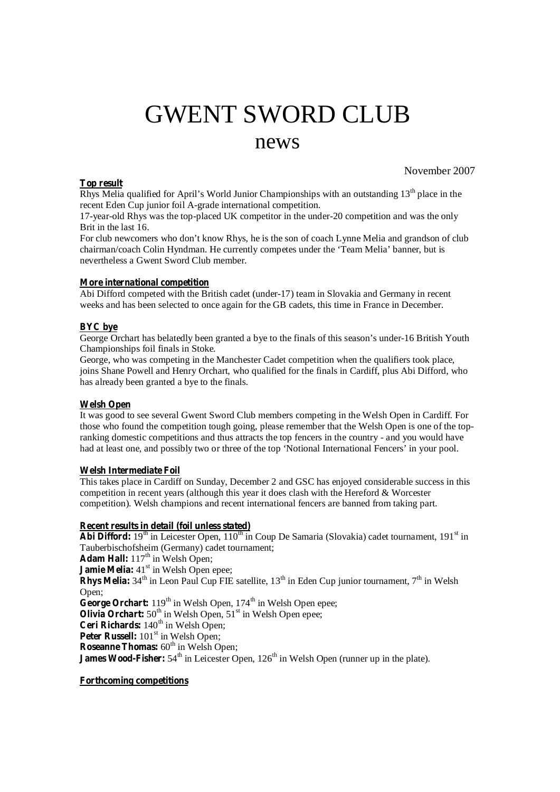# GWENT SWORD CLUB news

## **Top result**

November 2007

Rhys Melia qualified for April's World Junior Championships with an outstanding  $13<sup>th</sup>$  place in the recent Eden Cup junior foil A-grade international competition.

17-year-old Rhys was the top-placed UK competitor in the under-20 competition and was the only Brit in the last 16.

For club newcomers who don't know Rhys, he is the son of coach Lynne Melia and grandson of club chairman/coach Colin Hyndman. He currently competes under the 'Team Melia' banner, but is nevertheless a Gwent Sword Club member.

### **More international competition**

Abi Difford competed with the British cadet (under-17) team in Slovakia and Germany in recent weeks and has been selected to once again for the GB cadets, this time in France in December.

#### **BYC bye**

George Orchart has belatedly been granted a bye to the finals of this season's under-16 British Youth Championships foil finals in Stoke.

George, who was competing in the Manchester Cadet competition when the qualifiers took place, joins Shane Powell and Henry Orchart, who qualified for the finals in Cardiff, plus Abi Difford, who has already been granted a bye to the finals.

### **Welsh Open**

It was good to see several Gwent Sword Club members competing in the Welsh Open in Cardiff. For those who found the competition tough going, please remember that the Welsh Open is one of the topranking domestic competitions and thus attracts the top fencers in the country - and you would have had at least one, and possibly two or three of the top 'Notional International Fencers' in your pool.

### **Welsh Intermediate Foil**

This takes place in Cardiff on Sunday, December 2 and GSC has enjoyed considerable success in this competition in recent years (although this year it does clash with the Hereford & Worcester competition). Welsh champions and recent international fencers are banned from taking part.

### **Recent results in detail (foil unless stated)**

Abi Difford: 19<sup>th</sup> in Leicester Open, 110<sup>th</sup> in Coup De Samaria (Slovakia) cadet tournament, 191<sup>st</sup> in Tauberbischofsheim (Germany) cadet tournament; Adam Hall: 117<sup>th</sup> in Welsh Open; **Jamie Melia:** 41<sup>st</sup> in Welsh Open epee; **Rhys Melia:**  $34<sup>th</sup>$  in Leon Paul Cup FIE satellite,  $13<sup>th</sup>$  in Eden Cup junior tournament,  $7<sup>th</sup>$  in Welsh Open; George Orchart: 119<sup>th</sup> in Welsh Open, 174<sup>th</sup> in Welsh Open epee; **Olivia Orchart:**  $50^{\text{th}}$  in Welsh Open,  $51^{\text{st}}$  in Welsh Open epee; Ceri Richards: 140<sup>th</sup> in Welsh Open; Peter Russell: 101<sup>st</sup> in Welsh Open; **Roseanne Thomas:** 60<sup>th</sup> in Welsh Open; **James Wood-Fisher:** 54<sup>th</sup> in Leicester Open, 126<sup>th</sup> in Welsh Open (runner up in the plate).

### **Forthcoming competitions**